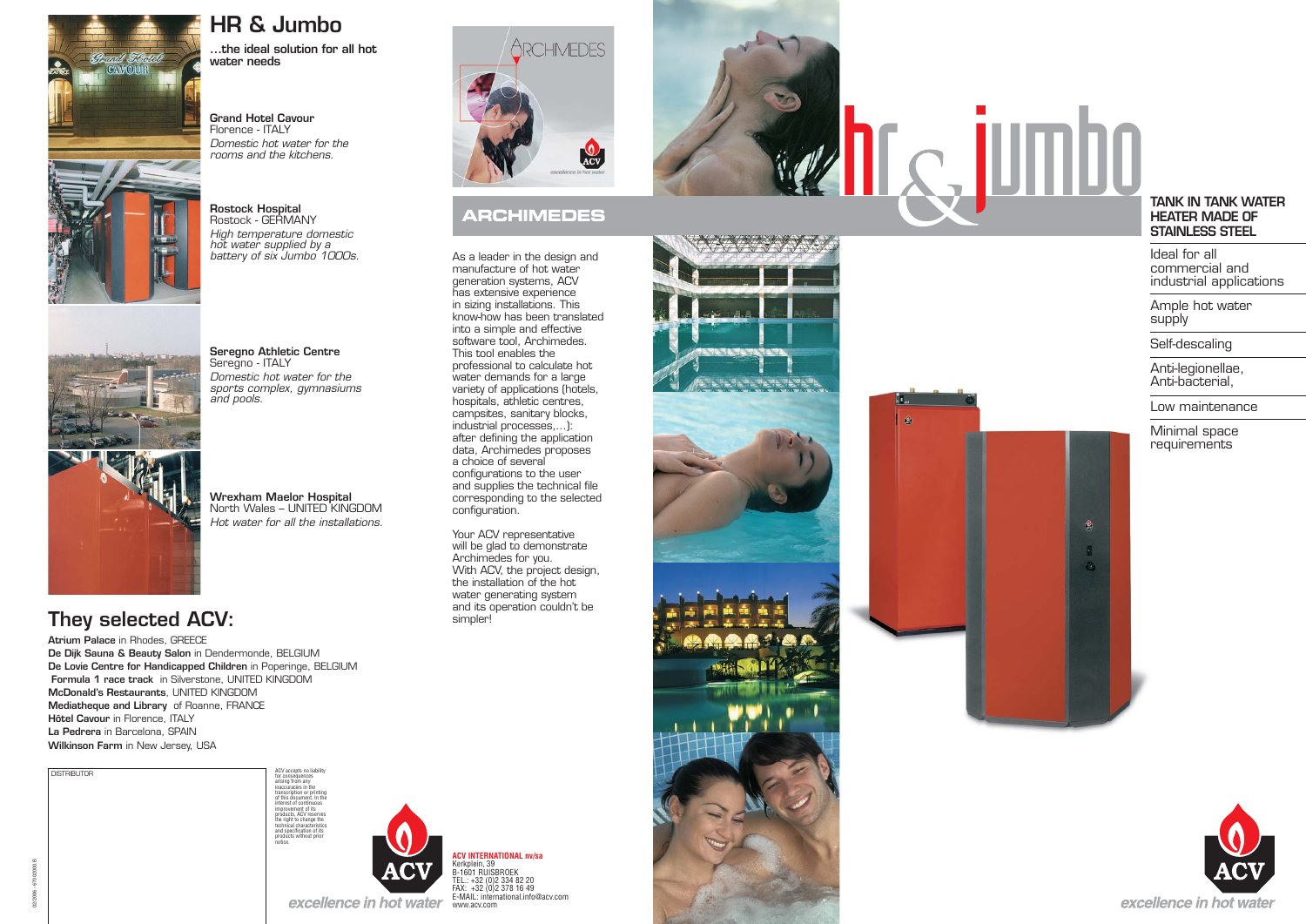

傻



# **FINDBOOK**<br>TANK IN TANK WATER

**Grand Hotel Cavour** Florence - ITALY*Domestic hot water for the rooms and the kitchens.*

**Rostock Hospital** Rostock - GERMANY*High temperature domestic hot water supplied by a battery of six Jumbo 1000s.* 



# **HEATER MADE OF STAINLESS STEEL**

**Seregno Athletic Centre**  Seregno - ITALY *Domestic hot water for the sports complex, gymnasiums and pools.*

Ample hot water supply

**Wrexham Maelor Hospital**  North Wales – UNITED KINGDOM *Hot water for all the installations.*

# **ARCHIMEDES**

Ideal for all commercial and industrial applications

As a leader in the design and manufacture of hot water generation systems, ACV has extensive experience in sizing installations. This know-how has been translated into a simple and effective software tool, Archimedes. This tool enables the professional to calculate hot water demands for a large variety of applications (hotels, hospitals, athletic centres, campsites, sanitary blocks, industrial processes,...): after defining the application data, Archimedes proposes a choice of several configurations to the user and supplies the technical file corresponding to the selected configuration.

Self-descaling

Anti-legionellae, Anti-bacterial,

Low maintenance





**HR & Jumbo**



**Atrium Palace** in Rhodes, GREECE **De Dijk Sauna & Beauty Salon** in Dendermonde, BELGIUM **De Lovie Centre for Handicapped Children** in Poperinge, BELGIUM  **Formula 1 race track** in Silverstone, UNITED KINGDOM **McDonald's Restaurants**, UNITED KINGDOM **Mediatheque and Library** of Roanne, FRANCE **Hôtel Cavour** in Florence, ITALY **La Pedrera** in Barcelona, SPAIN **Wilkinson Farm** in New Jersey, USA

# **They selected ACV:**

Your ACV representative will be glad to demonstrate Archimedes for you. With ACV, the project design, the installation of the hot water generating system and its operation couldn't be simpler!

**ACV INTERNATIONAL nv/sa** Kerkplein, 39 B-1601 RUISBROEK TEL.: +32 (0)2 334 82 20 FAX: +32 (0)2 378 16 49 E-MAIL: international.info@acv.comwww.acv.com





notice.

02/2006 - 67002000.B



Minimal space requirements





| <b>DISTRIBUTOR</b> |  |  |
|--------------------|--|--|
|                    |  |  |
|                    |  |  |
|                    |  |  |
|                    |  |  |
|                    |  |  |
|                    |  |  |
|                    |  |  |
|                    |  |  |